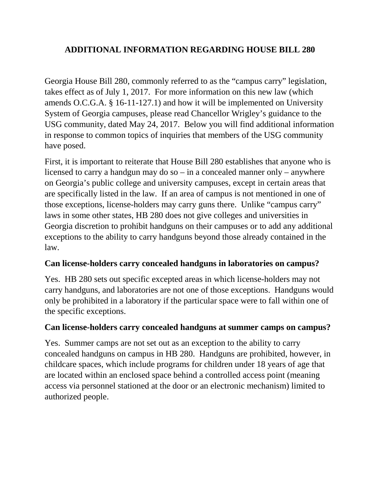#### **ADDITIONAL INFORMATION REGARDING HOUSE BILL 280**

Georgia House Bill 280, commonly referred to as the "campus carry" legislation, takes effect as of July 1, 2017. For more information on this new law (which amends O.C.G.A. § 16-11-127.1) and how it will be implemented on University System of Georgia campuses, please read Chancellor Wrigley's guidance to the USG community, dated May 24, 2017. Below you will find additional information in response to common topics of inquiries that members of the USG community have posed.

First, it is important to reiterate that House Bill 280 establishes that anyone who is licensed to carry a handgun may do so – in a concealed manner only – anywhere on Georgia's public college and university campuses, except in certain areas that are specifically listed in the law. If an area of campus is not mentioned in one of those exceptions, license-holders may carry guns there. Unlike "campus carry" laws in some other states, HB 280 does not give colleges and universities in Georgia discretion to prohibit handguns on their campuses or to add any additional exceptions to the ability to carry handguns beyond those already contained in the law.

#### **Can license-holders carry concealed handguns in laboratories on campus?**

Yes. HB 280 sets out specific excepted areas in which license-holders may not carry handguns, and laboratories are not one of those exceptions. Handguns would only be prohibited in a laboratory if the particular space were to fall within one of the specific exceptions.

#### **Can license-holders carry concealed handguns at summer camps on campus?**

Yes. Summer camps are not set out as an exception to the ability to carry concealed handguns on campus in HB 280. Handguns are prohibited, however, in childcare spaces, which include programs for children under 18 years of age that are located within an enclosed space behind a controlled access point (meaning access via personnel stationed at the door or an electronic mechanism) limited to authorized people.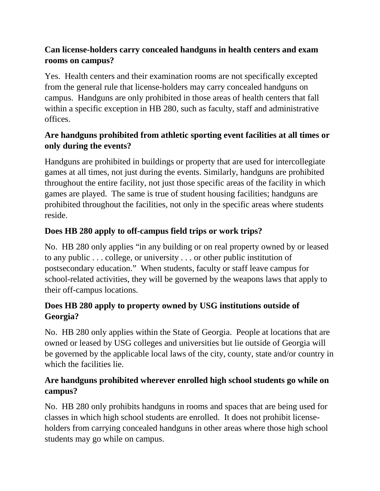# **Can license-holders carry concealed handguns in health centers and exam rooms on campus?**

Yes. Health centers and their examination rooms are not specifically excepted from the general rule that license-holders may carry concealed handguns on campus. Handguns are only prohibited in those areas of health centers that fall within a specific exception in HB 280, such as faculty, staff and administrative offices.

# **Are handguns prohibited from athletic sporting event facilities at all times or only during the events?**

Handguns are prohibited in buildings or property that are used for intercollegiate games at all times, not just during the events. Similarly, handguns are prohibited throughout the entire facility, not just those specific areas of the facility in which games are played. The same is true of student housing facilities; handguns are prohibited throughout the facilities, not only in the specific areas where students reside.

# **Does HB 280 apply to off-campus field trips or work trips?**

No. HB 280 only applies "in any building or on real property owned by or leased to any public . . . college, or university . . . or other public institution of postsecondary education." When students, faculty or staff leave campus for school-related activities, they will be governed by the weapons laws that apply to their off-campus locations.

# **Does HB 280 apply to property owned by USG institutions outside of Georgia?**

No. HB 280 only applies within the State of Georgia. People at locations that are owned or leased by USG colleges and universities but lie outside of Georgia will be governed by the applicable local laws of the city, county, state and/or country in which the facilities lie.

# **Are handguns prohibited wherever enrolled high school students go while on campus?**

No. HB 280 only prohibits handguns in rooms and spaces that are being used for classes in which high school students are enrolled. It does not prohibit licenseholders from carrying concealed handguns in other areas where those high school students may go while on campus.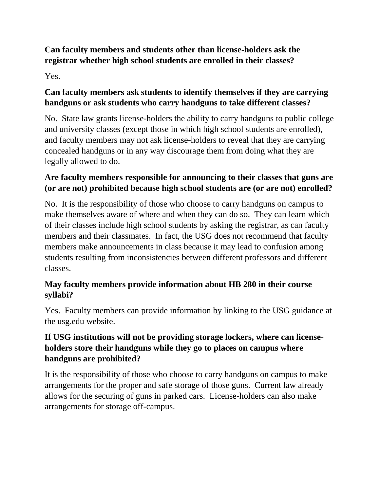# **Can faculty members and students other than license-holders ask the registrar whether high school students are enrolled in their classes?**

Yes.

### **Can faculty members ask students to identify themselves if they are carrying handguns or ask students who carry handguns to take different classes?**

No. State law grants license-holders the ability to carry handguns to public college and university classes (except those in which high school students are enrolled), and faculty members may not ask license-holders to reveal that they are carrying concealed handguns or in any way discourage them from doing what they are legally allowed to do.

### **Are faculty members responsible for announcing to their classes that guns are (or are not) prohibited because high school students are (or are not) enrolled?**

No. It is the responsibility of those who choose to carry handguns on campus to make themselves aware of where and when they can do so. They can learn which of their classes include high school students by asking the registrar, as can faculty members and their classmates. In fact, the USG does not recommend that faculty members make announcements in class because it may lead to confusion among students resulting from inconsistencies between different professors and different classes.

# **May faculty members provide information about HB 280 in their course syllabi?**

Yes. Faculty members can provide information by linking to the USG guidance at the usg.edu website.

# **If USG institutions will not be providing storage lockers, where can licenseholders store their handguns while they go to places on campus where handguns are prohibited?**

It is the responsibility of those who choose to carry handguns on campus to make arrangements for the proper and safe storage of those guns. Current law already allows for the securing of guns in parked cars. License-holders can also make arrangements for storage off-campus.